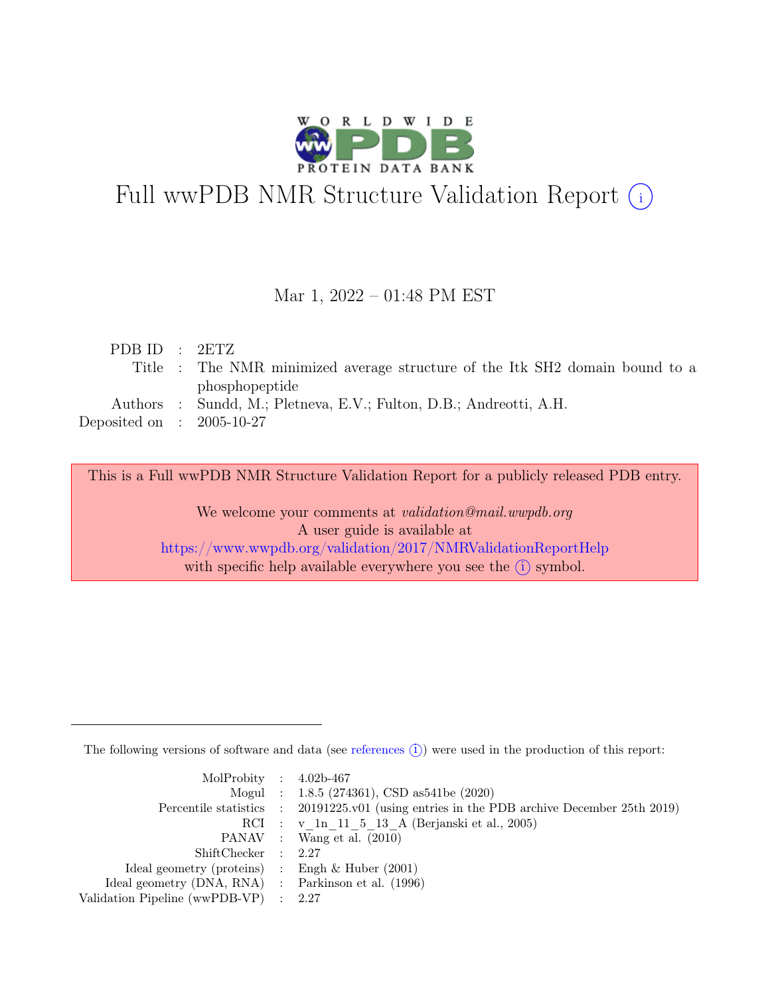

# Full wwPDB NMR Structure Validation Report (i)

#### Mar 1, 2022 – 01:48 PM EST

| PDBID : 2ETZ                |                                                                              |
|-----------------------------|------------------------------------------------------------------------------|
|                             | Title : The NMR minimized average structure of the Itk SH2 domain bound to a |
|                             | phosphopeptide                                                               |
|                             | Authors : Sundd, M.; Pletneva, E.V.; Fulton, D.B.; Andreotti, A.H.           |
| Deposited on : $2005-10-27$ |                                                                              |
|                             |                                                                              |

This is a Full wwPDB NMR Structure Validation Report for a publicly released PDB entry.

We welcome your comments at *validation@mail.wwpdb.org* A user guide is available at <https://www.wwpdb.org/validation/2017/NMRValidationReportHelp> with specific help available everywhere you see the  $(i)$  symbol.

The following versions of software and data (see [references](https://www.wwpdb.org/validation/2017/NMRValidationReportHelp#references)  $(i)$ ) were used in the production of this report:

| MolProbity : $4.02b-467$                            |                                                                                            |
|-----------------------------------------------------|--------------------------------------------------------------------------------------------|
|                                                     | Mogul : $1.8.5$ (274361), CSD as 541be (2020)                                              |
|                                                     | Percentile statistics : 20191225.v01 (using entries in the PDB archive December 25th 2019) |
|                                                     | RCI : v 1n 11 5 13 A (Berjanski et al., 2005)                                              |
|                                                     | PANAV : Wang et al. (2010)                                                                 |
| ShiftChecker : 2.27                                 |                                                                                            |
| Ideal geometry (proteins) : Engh $\&$ Huber (2001)  |                                                                                            |
| Ideal geometry (DNA, RNA) : Parkinson et al. (1996) |                                                                                            |
| Validation Pipeline (wwPDB-VP) : $2.27$             |                                                                                            |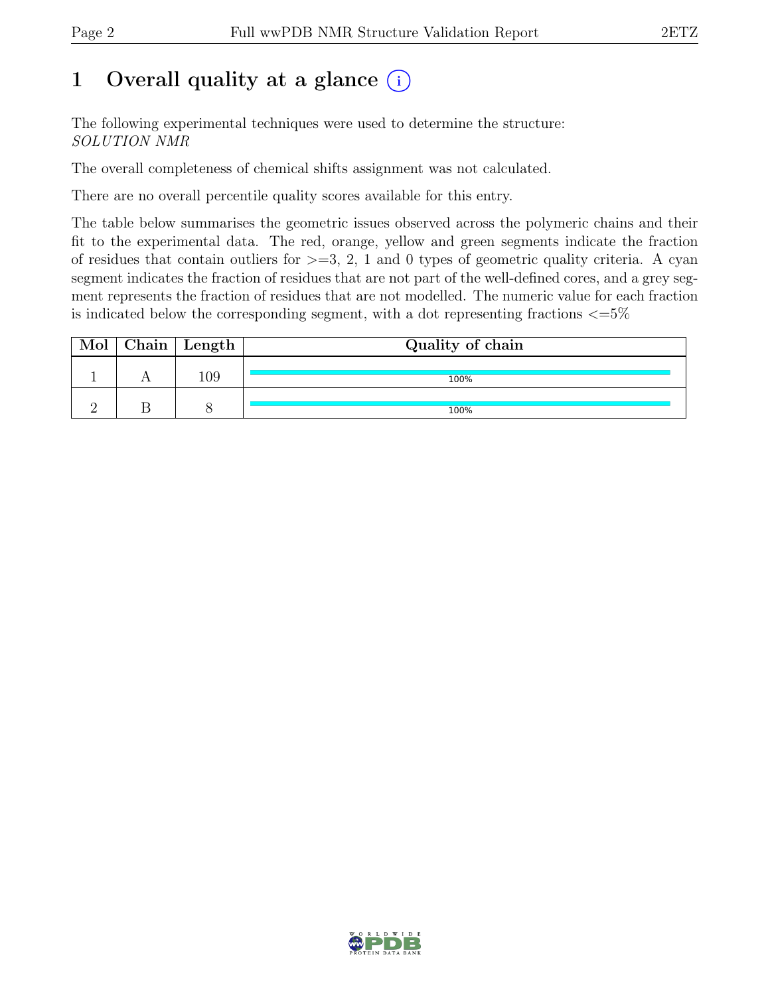## 1 Overall quality at a glance  $(i)$

The following experimental techniques were used to determine the structure: SOLUTION NMR

The overall completeness of chemical shifts assignment was not calculated.

There are no overall percentile quality scores available for this entry.

The table below summarises the geometric issues observed across the polymeric chains and their fit to the experimental data. The red, orange, yellow and green segments indicate the fraction of residues that contain outliers for  $\geq$ =3, 2, 1 and 0 types of geometric quality criteria. A cyan segment indicates the fraction of residues that are not part of the well-defined cores, and a grey segment represents the fraction of residues that are not modelled. The numeric value for each fraction is indicated below the corresponding segment, with a dot representing fractions  $\epsilon = 5\%$ 

| Mol | $\vert$ Chain $\vert$ Length $\vert$ | Quality of chain |
|-----|--------------------------------------|------------------|
|     | 109                                  | 100%             |
|     |                                      | 100%             |

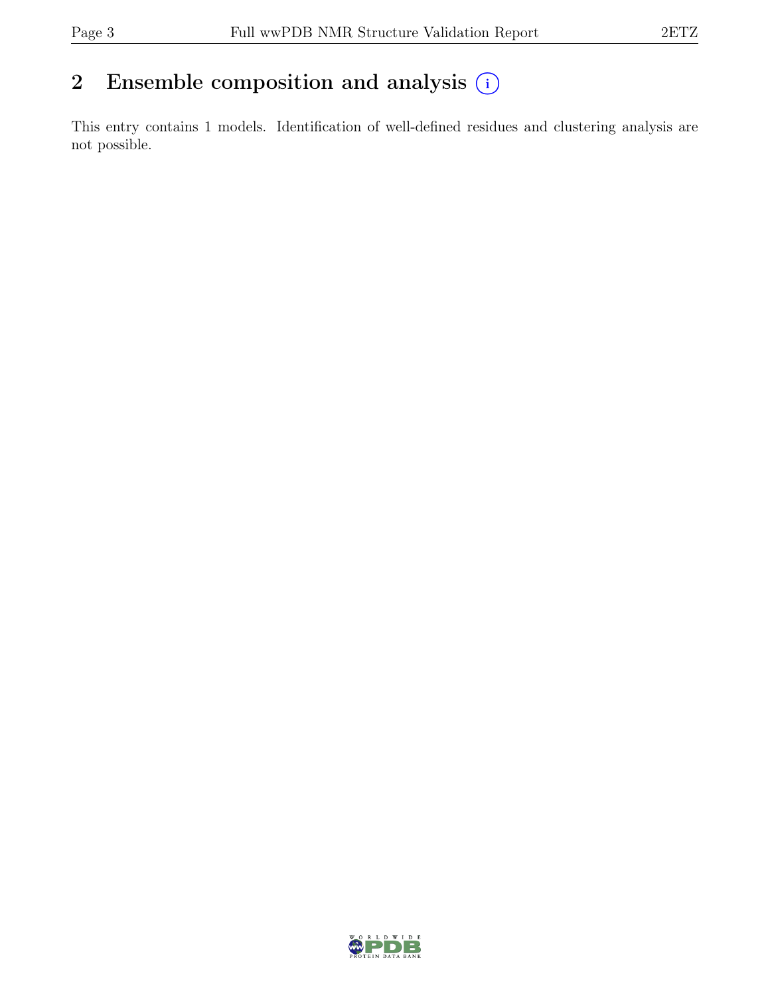### 2 Ensemble composition and analysis  $(i)$

This entry contains 1 models. Identification of well-defined residues and clustering analysis are not possible.

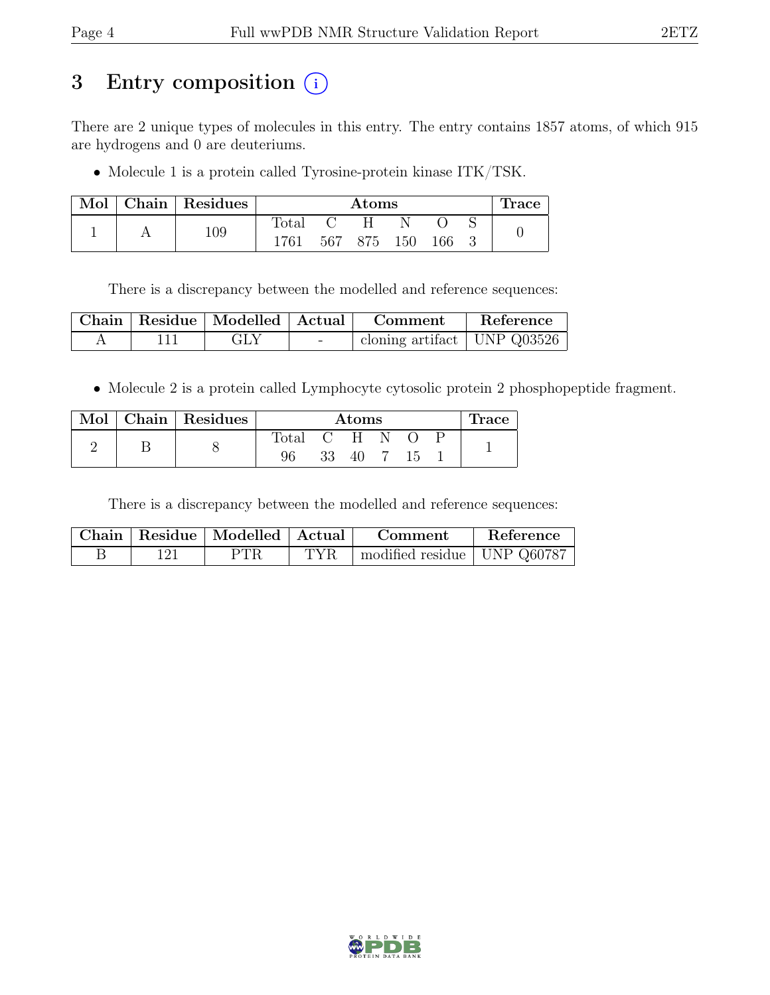## 3 Entry composition (i)

There are 2 unique types of molecules in this entry. The entry contains 1857 atoms, of which 915 are hydrogens and 0 are deuteriums.

• Molecule 1 is a protein called Tyrosine-protein kinase ITK/TSK.

| Mol | Chain   Residues |       | $\rm{Atoms}$ |             |  |     |  | Trace |
|-----|------------------|-------|--------------|-------------|--|-----|--|-------|
|     | 109              | Fotal |              |             |  |     |  |       |
|     |                  | 1761  |              | 567 875 150 |  | 166 |  |       |

There is a discrepancy between the modelled and reference sequences:

|  | Chain   Residue   Modelled   Actual |        | Comment                         | Reference |
|--|-------------------------------------|--------|---------------------------------|-----------|
|  | <b>GLY</b>                          | $\sim$ | cloning artifact   UNP $Q03526$ |           |

• Molecule 2 is a protein called Lymphocyte cytosolic protein 2 phosphopeptide fragment.

| Mol | Chain   Residues | $\rm{Atoms}$   |  |              |  | <b>Trace</b> |  |  |
|-----|------------------|----------------|--|--------------|--|--------------|--|--|
|     |                  | $_{\rm Total}$ |  | $\mathbf{H}$ |  |              |  |  |
|     |                  | 96             |  | 40           |  | 15           |  |  |

There is a discrepancy between the modelled and reference sequences:

|  | Chain   Residue   Modelled   Actual |      | Comment                       | Reference |
|--|-------------------------------------|------|-------------------------------|-----------|
|  | <b>PTR</b>                          | TYR. | modified residue   UNP Q60787 |           |

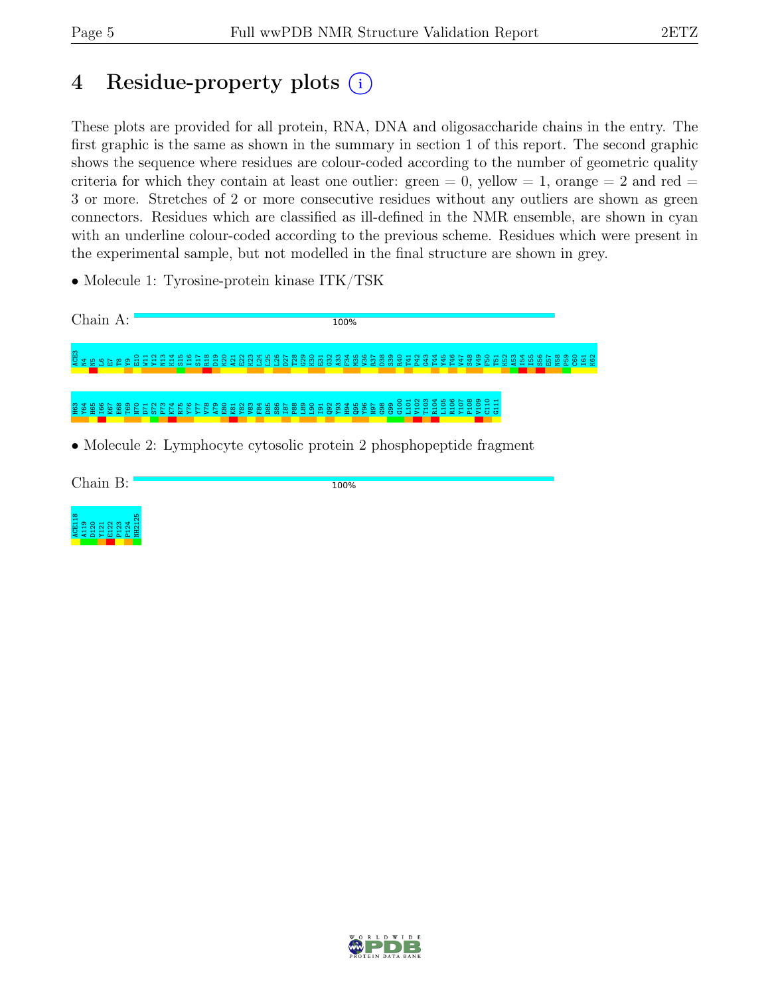## 4 Residue-property plots (i)

These plots are provided for all protein, RNA, DNA and oligosaccharide chains in the entry. The first graphic is the same as shown in the summary in section 1 of this report. The second graphic shows the sequence where residues are colour-coded according to the number of geometric quality criteria for which they contain at least one outlier: green  $= 0$ , yellow  $= 1$ , orange  $= 2$  and red  $=$ 3 or more. Stretches of 2 or more consecutive residues without any outliers are shown as green connectors. Residues which are classified as ill-defined in the NMR ensemble, are shown in cyan with an underline colour-coded according to the previous scheme. Residues which were present in the experimental sample, but not modelled in the final structure are shown in grey.

• Molecule 1: Tyrosine-protein kinase ITK/TSK

Chain A: 100% a<br>ក្នុងមកដូន  $\frac{1}{2}$ E<br>W  $\mathfrak{p}_2$ n<br>2 K14 S15  $\frac{6}{11}$  $\frac{2}{15}$ R18  $\frac{9}{2}$  $\frac{8}{2}$ A21  $\frac{22}{2}$ K23 L24 L25 L26  $\overline{27}$ T28 ဌ  $\frac{8}{2}$  $\Xi$ G32 A33 F34 M35  $\frac{8}{5}$ R37 D38 S39 R40 T41 P42 G43 T44 Y45 T46 V47 S48 V49 E E E E E E E E E E E E P59 မ<br>ဗ I61 K62 Y64 H65 I66 K67 E68 T69 N70 D71 S72 P73 K74 R75 Y76 Y77 V78 A79 E80 K81 Y82 V83 F84 D85 S86 I87 P88 L89 L90 I91 Q92 Y93 H94 Q95 Y96 N97 G98 G99 G100 L101 V102 T103 R104 L105 R106 Y107 P108 V109 C110 G111 H63

• Molecule 2: Lymphocyte cytosolic protein 2 phosphopeptide fragment

Chain B:

100%



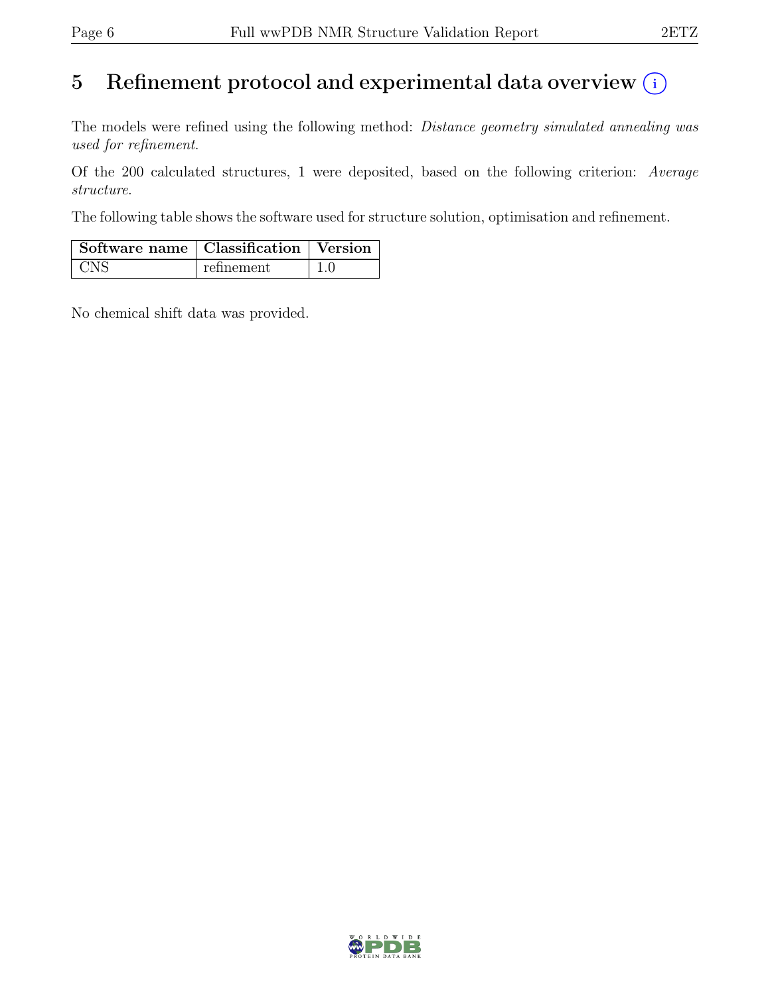## 5 Refinement protocol and experimental data overview  $(i)$

The models were refined using the following method: *Distance geometry simulated annealing was* used for refinement.

Of the 200 calculated structures, 1 were deposited, based on the following criterion: Average structure.

The following table shows the software used for structure solution, optimisation and refinement.

| $\vert$ Software name $\vert$ Classification $\vert$ Version |            |  |
|--------------------------------------------------------------|------------|--|
| - CNS                                                        | refinement |  |

No chemical shift data was provided.

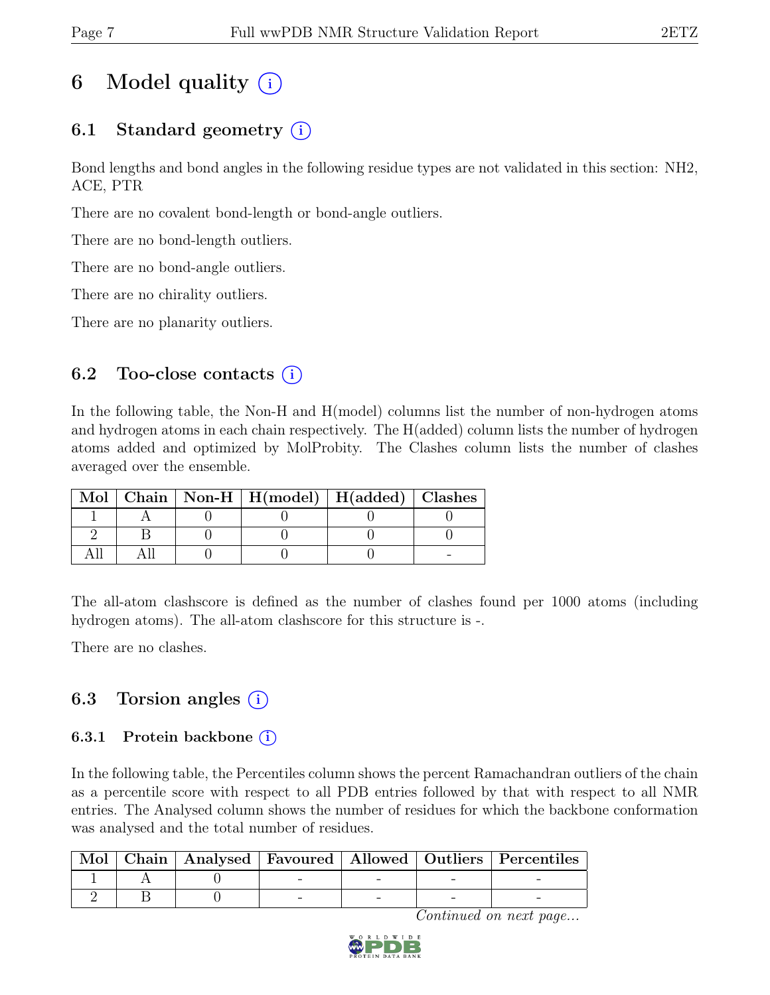# 6 Model quality  $(i)$

### 6.1 Standard geometry  $(i)$

Bond lengths and bond angles in the following residue types are not validated in this section: NH2, ACE, PTR

There are no covalent bond-length or bond-angle outliers.

There are no bond-length outliers.

There are no bond-angle outliers.

There are no chirality outliers.

There are no planarity outliers.

#### 6.2 Too-close contacts  $(i)$

In the following table, the Non-H and H(model) columns list the number of non-hydrogen atoms and hydrogen atoms in each chain respectively. The H(added) column lists the number of hydrogen atoms added and optimized by MolProbity. The Clashes column lists the number of clashes averaged over the ensemble.

|  | Mol   Chain   Non-H   H(model)   H(added)   Clashes |  |
|--|-----------------------------------------------------|--|
|  |                                                     |  |
|  |                                                     |  |
|  |                                                     |  |

The all-atom clashscore is defined as the number of clashes found per 1000 atoms (including hydrogen atoms). The all-atom clashscore for this structure is -.

There are no clashes.

### 6.3 Torsion angles  $(i)$

#### 6.3.1 Protein backbone  $(i)$

In the following table, the Percentiles column shows the percent Ramachandran outliers of the chain as a percentile score with respect to all PDB entries followed by that with respect to all NMR entries. The Analysed column shows the number of residues for which the backbone conformation was analysed and the total number of residues.

| $\operatorname{Mol}$ |  |  | Chain   Analysed   Favoured   Allowed   Outliers   Percentiles |
|----------------------|--|--|----------------------------------------------------------------|
|                      |  |  |                                                                |
|                      |  |  |                                                                |

Continued on next page...

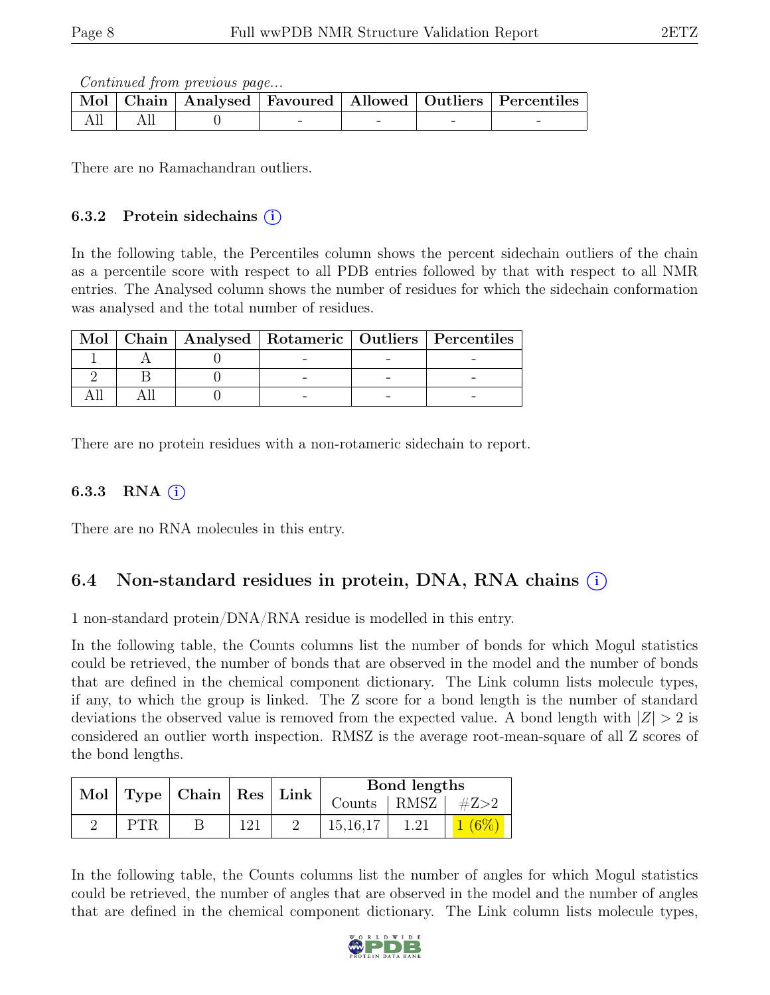Continued from previous page...

|  |  |  | Mol   Chain   Analysed   Favoured   Allowed   Outliers   Percentiles |
|--|--|--|----------------------------------------------------------------------|
|  |  |  |                                                                      |

There are no Ramachandran outliers.

#### 6.3.2 Protein sidechains  $(i)$

In the following table, the Percentiles column shows the percent sidechain outliers of the chain as a percentile score with respect to all PDB entries followed by that with respect to all NMR entries. The Analysed column shows the number of residues for which the sidechain conformation was analysed and the total number of residues.

|  |  | Mol   Chain   Analysed   Rotameric   Outliers   Percentiles |
|--|--|-------------------------------------------------------------|
|  |  |                                                             |
|  |  |                                                             |
|  |  |                                                             |

There are no protein residues with a non-rotameric sidechain to report.

#### 6.3.3 RNA  $(i)$

There are no RNA molecules in this entry.

### 6.4 Non-standard residues in protein, DNA, RNA chains (i)

1 non-standard protein/DNA/RNA residue is modelled in this entry.

In the following table, the Counts columns list the number of bonds for which Mogul statistics could be retrieved, the number of bonds that are observed in the model and the number of bonds that are defined in the chemical component dictionary. The Link column lists molecule types, if any, to which the group is linked. The Z score for a bond length is the number of standard deviations the observed value is removed from the expected value. A bond length with  $|Z| > 2$  is considered an outlier worth inspection. RMSZ is the average root-mean-square of all Z scores of the bond lengths.

|      | Mol   Type   Chain   Res   Link |     | Bond lengths            |      |         |
|------|---------------------------------|-----|-------------------------|------|---------|
|      |                                 |     | Counts   RMSZ   $\#Z>2$ |      |         |
| PTR. |                                 | 121 | 15, 16, 17              | 1.21 | $1.6\%$ |

In the following table, the Counts columns list the number of angles for which Mogul statistics could be retrieved, the number of angles that are observed in the model and the number of angles that are defined in the chemical component dictionary. The Link column lists molecule types,

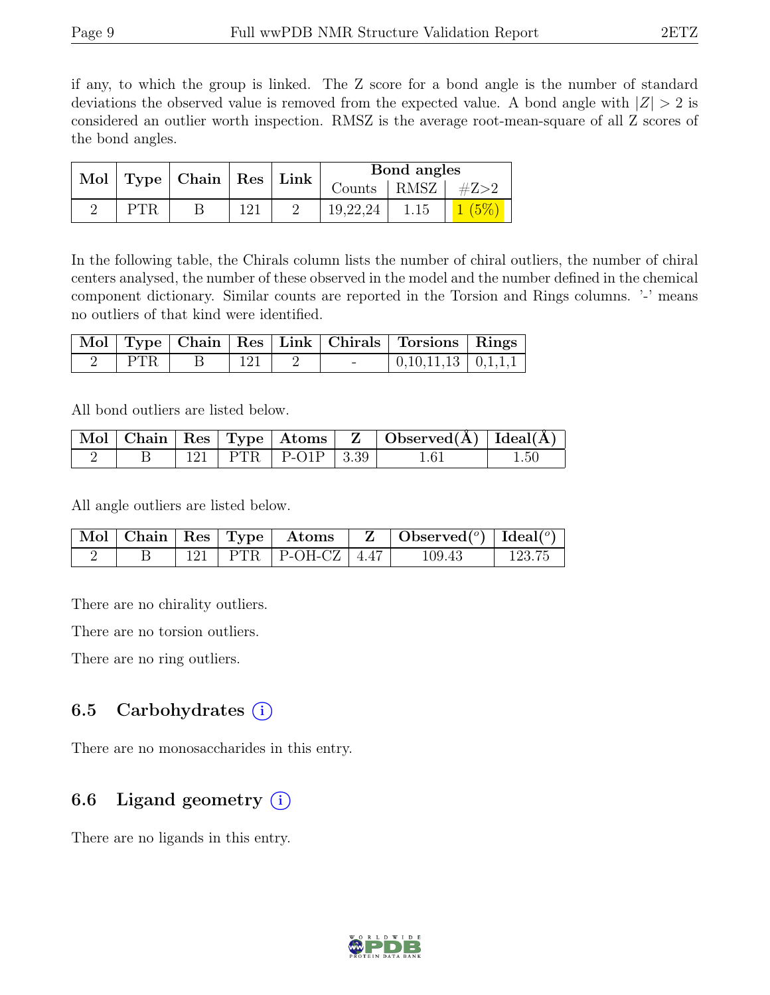if any, to which the group is linked. The Z score for a bond angle is the number of standard deviations the observed value is removed from the expected value. A bond angle with  $|Z| > 2$  is considered an outlier worth inspection. RMSZ is the average root-mean-square of all Z scores of the bond angles.

|      | Mol   Type   Chain   Res   Link |     | Bond angles             |      |  |
|------|---------------------------------|-----|-------------------------|------|--|
|      |                                 |     | Counts   RMSZ   $\#Z>2$ |      |  |
| PTR. |                                 | 121 | 19,22,24                | 1.15 |  |

In the following table, the Chirals column lists the number of chiral outliers, the number of chiral centers analysed, the number of these observed in the model and the number defined in the chemical component dictionary. Similar counts are reported in the Torsion and Rings columns. '-' means no outliers of that kind were identified.

|                 |             |  | Mol   Type   Chain   Res   Link   Chirals   Torsions   Rings |  |
|-----------------|-------------|--|--------------------------------------------------------------|--|
| $\parallel$ PTR | $\perp$ 121 |  | $\vert 0,10,11,13 \vert 0,1,1,1 \vert$                       |  |

All bond outliers are listed below.

|  |  |                          | $\mid$ Mol $\mid$ Chain $\mid$ Res $\mid$ Type $\mid$ Atoms $\mid$ Z $\mid$ Observed(A) $\mid$ Ideal(A) $\mid$ |          |
|--|--|--------------------------|----------------------------------------------------------------------------------------------------------------|----------|
|  |  | 121   PTR   P-O1P   3.39 | 1.61                                                                                                           | $1.50\,$ |

All angle outliers are listed below.

|  |  | $\mid$ Mol $\mid$ Chain $\mid$ Res $\mid$ Type $\mid$ Atoms $\mid$ Z $\mid$ Observed( <sup>o</sup> ) $\mid$ Ideal( <sup>o</sup> ) |  |        |        |
|--|--|-----------------------------------------------------------------------------------------------------------------------------------|--|--------|--------|
|  |  | 121   PTR   P-OH-CZ   4.47                                                                                                        |  | 109.43 | 123.75 |

There are no chirality outliers.

There are no torsion outliers.

There are no ring outliers.

### 6.5 Carbohydrates  $(i)$

There are no monosaccharides in this entry.

### 6.6 Ligand geometry  $(i)$

There are no ligands in this entry.

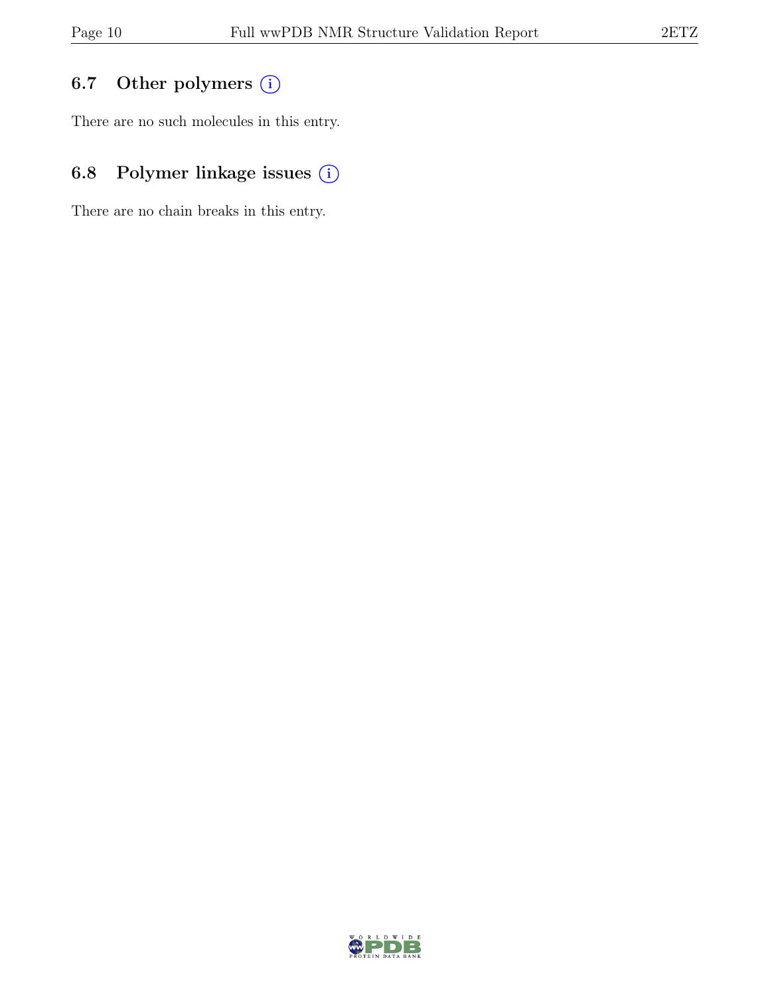### 6.7 Other polymers (i)

There are no such molecules in this entry.

### 6.8 Polymer linkage issues (i)

There are no chain breaks in this entry.